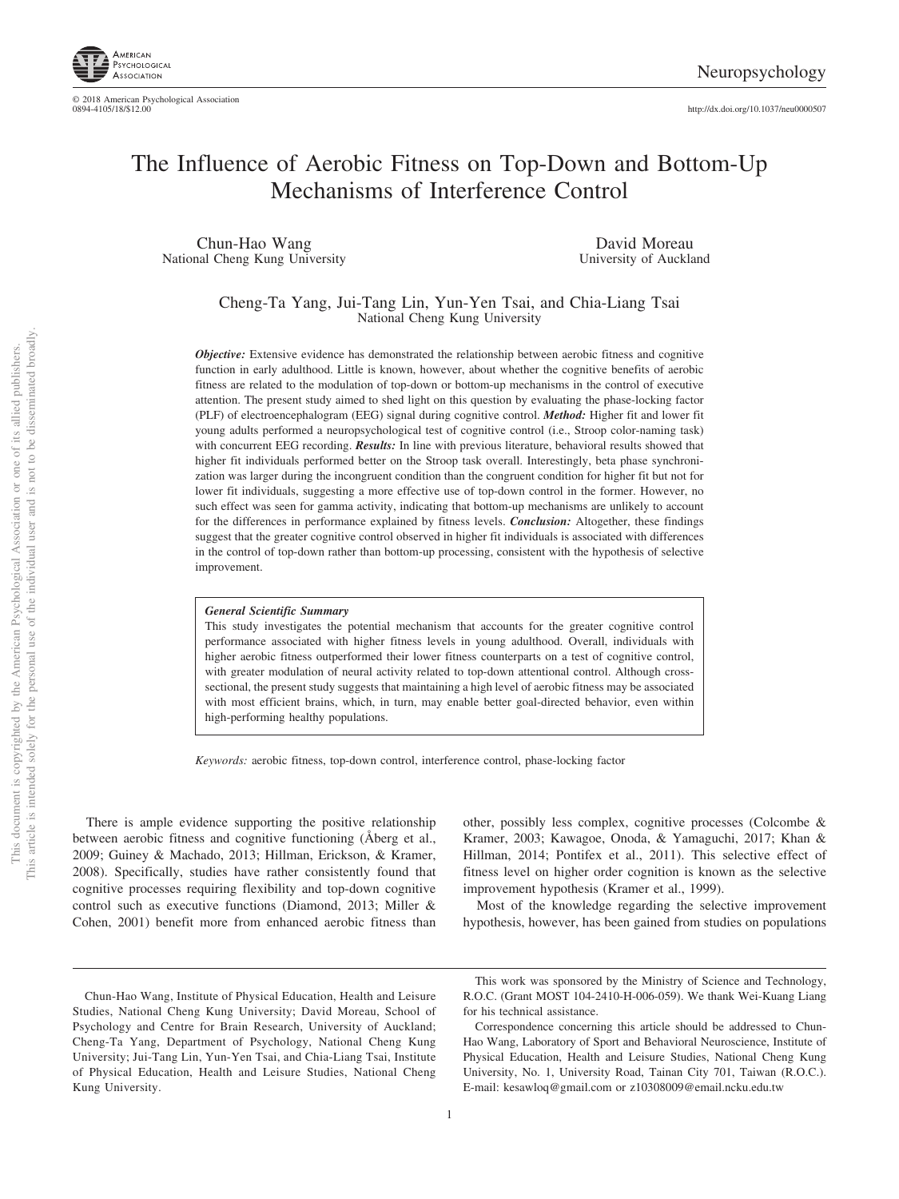

http://dx.doi.org[/10.1037/neu0000507](http://dx.doi.org/10.1037/neu0000507)

# The Influence of Aerobic Fitness on Top-Down and Bottom-Up Mechanisms of Interference Control

Chun-Hao Wang National Cheng Kung University

David Moreau University of Auckland

Cheng-Ta Yang, Jui-Tang Lin, Yun-Yen Tsai, and Chia-Liang Tsai National Cheng Kung University

*Objective:* Extensive evidence has demonstrated the relationship between aerobic fitness and cognitive function in early adulthood. Little is known, however, about whether the cognitive benefits of aerobic fitness are related to the modulation of top-down or bottom-up mechanisms in the control of executive attention. The present study aimed to shed light on this question by evaluating the phase-locking factor (PLF) of electroencephalogram (EEG) signal during cognitive control. *Method:* Higher fit and lower fit young adults performed a neuropsychological test of cognitive control (i.e., Stroop color-naming task) with concurrent EEG recording. *Results:* In line with previous literature, behavioral results showed that higher fit individuals performed better on the Stroop task overall. Interestingly, beta phase synchronization was larger during the incongruent condition than the congruent condition for higher fit but not for lower fit individuals, suggesting a more effective use of top-down control in the former. However, no such effect was seen for gamma activity, indicating that bottom-up mechanisms are unlikely to account for the differences in performance explained by fitness levels. *Conclusion:* Altogether, these findings suggest that the greater cognitive control observed in higher fit individuals is associated with differences in the control of top-down rather than bottom-up processing, consistent with the hypothesis of selective improvement.

#### *General Scientific Summary*

This study investigates the potential mechanism that accounts for the greater cognitive control performance associated with higher fitness levels in young adulthood. Overall, individuals with higher aerobic fitness outperformed their lower fitness counterparts on a test of cognitive control, with greater modulation of neural activity related to top-down attentional control. Although crosssectional, the present study suggests that maintaining a high level of aerobic fitness may be associated with most efficient brains, which, in turn, may enable better goal-directed behavior, even within high-performing healthy populations.

*Keywords:* aerobic fitness, top-down control, interference control, phase-locking factor

There is ample evidence supporting the positive relationship between aerobic fitness and cognitive functioning (Åberg et al., 2009; Guiney & Machado, 2013; Hillman, Erickson, & Kramer, 2008). Specifically, studies have rather consistently found that cognitive processes requiring flexibility and top-down cognitive control such as executive functions (Diamond, 2013; Miller & Cohen, 2001) benefit more from enhanced aerobic fitness than

other, possibly less complex, cognitive processes (Colcombe & Kramer, 2003; Kawagoe, Onoda, & Yamaguchi, 2017; Khan & Hillman, 2014; Pontifex et al., 2011). This selective effect of fitness level on higher order cognition is known as the selective improvement hypothesis (Kramer et al., 1999).

Most of the knowledge regarding the selective improvement hypothesis, however, has been gained from studies on populations

Chun-Hao Wang, Institute of Physical Education, Health and Leisure Studies, National Cheng Kung University; David Moreau, School of Psychology and Centre for Brain Research, University of Auckland; Cheng-Ta Yang, Department of Psychology, National Cheng Kung University; Jui-Tang Lin, Yun-Yen Tsai, and Chia-Liang Tsai, Institute of Physical Education, Health and Leisure Studies, National Cheng Kung University.

This work was sponsored by the Ministry of Science and Technology, R.O.C. (Grant MOST 104-2410-H-006-059). We thank Wei-Kuang Liang for his technical assistance.

Correspondence concerning this article should be addressed to Chun-Hao Wang, Laboratory of Sport and Behavioral Neuroscience, Institute of Physical Education, Health and Leisure Studies, National Cheng Kung University, No. 1, University Road, Tainan City 701, Taiwan (R.O.C.). E-mail: [kesawloq@gmail.com](mailto:kesawloq@gmail.com) or [z10308009@email.ncku.edu.tw](mailto:z10308009@email.ncku.edu.tw)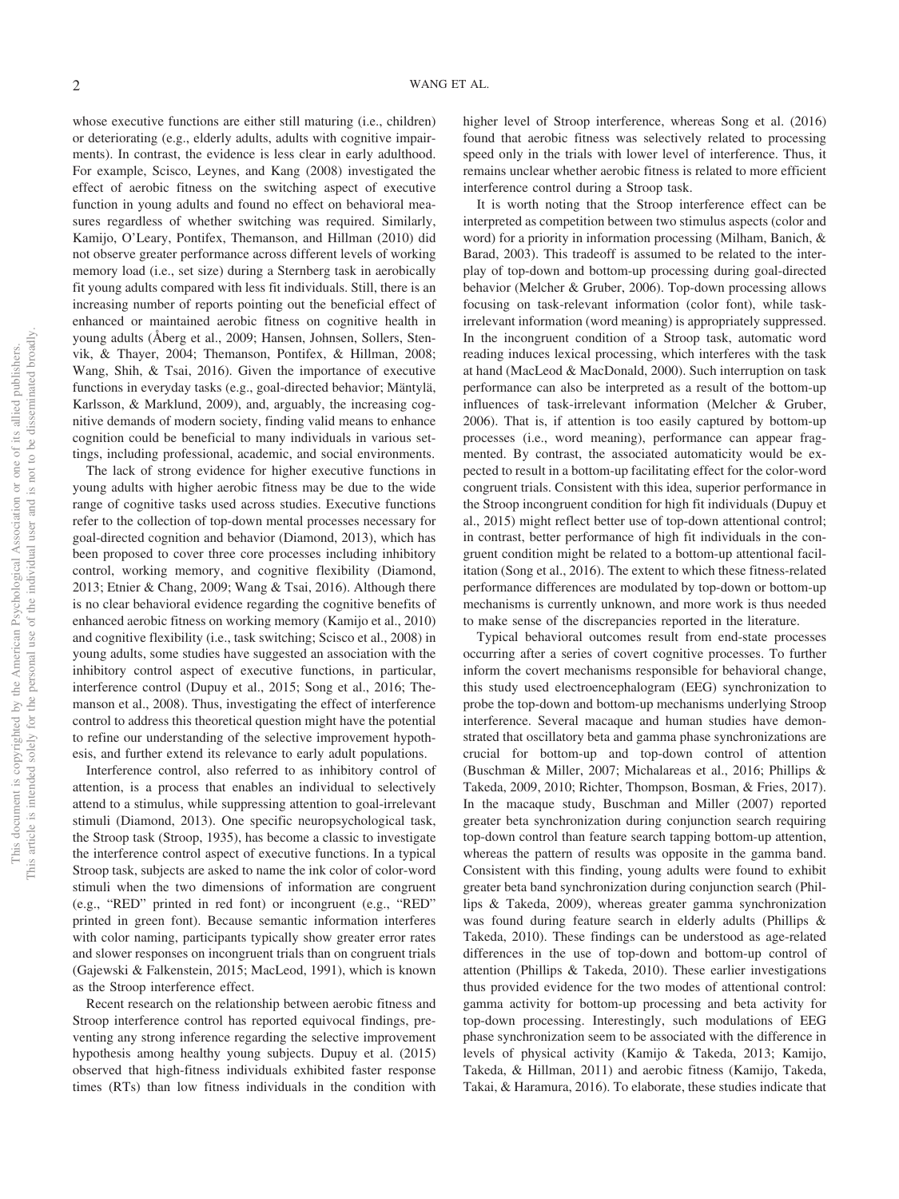whose executive functions are either still maturing (i.e., children) or deteriorating (e.g., elderly adults, adults with cognitive impairments). In contrast, the evidence is less clear in early adulthood. For example, Scisco, Leynes, and Kang (2008) investigated the effect of aerobic fitness on the switching aspect of executive function in young adults and found no effect on behavioral measures regardless of whether switching was required. Similarly, Kamijo, O'Leary, Pontifex, Themanson, and Hillman (2010) did not observe greater performance across different levels of working memory load (i.e., set size) during a Sternberg task in aerobically fit young adults compared with less fit individuals. Still, there is an increasing number of reports pointing out the beneficial effect of enhanced or maintained aerobic fitness on cognitive health in young adults (Åberg et al., 2009; Hansen, Johnsen, Sollers, Stenvik, & Thayer, 2004; Themanson, Pontifex, & Hillman, 2008; Wang, Shih, & Tsai, 2016). Given the importance of executive functions in everyday tasks (e.g., goal-directed behavior; Mäntylä, Karlsson, & Marklund, 2009), and, arguably, the increasing cognitive demands of modern society, finding valid means to enhance cognition could be beneficial to many individuals in various settings, including professional, academic, and social environments.

The lack of strong evidence for higher executive functions in young adults with higher aerobic fitness may be due to the wide range of cognitive tasks used across studies. Executive functions refer to the collection of top-down mental processes necessary for goal-directed cognition and behavior (Diamond, 2013), which has been proposed to cover three core processes including inhibitory control, working memory, and cognitive flexibility (Diamond, 2013; Etnier & Chang, 2009; [Wang & Tsai, 2016\)](#page-10-0). Although there is no clear behavioral evidence regarding the cognitive benefits of enhanced aerobic fitness on working memory (Kamijo et al., 2010) and cognitive flexibility (i.e., task switching; Scisco et al., 2008) in young adults, some studies have suggested an association with the inhibitory control aspect of executive functions, in particular, interference control (Dupuy et al., 2015; Song et al., 2016; Themanson et al., 2008). Thus, investigating the effect of interference control to address this theoretical question might have the potential to refine our understanding of the selective improvement hypothesis, and further extend its relevance to early adult populations.

Interference control, also referred to as inhibitory control of attention, is a process that enables an individual to selectively attend to a stimulus, while suppressing attention to goal-irrelevant stimuli (Diamond, 2013). One specific neuropsychological task, the Stroop task (Stroop, 1935), has become a classic to investigate the interference control aspect of executive functions. In a typical Stroop task, subjects are asked to name the ink color of color-word stimuli when the two dimensions of information are congruent (e.g., "RED" printed in red font) or incongruent (e.g., "RED" printed in green font). Because semantic information interferes with color naming, participants typically show greater error rates and slower responses on incongruent trials than on congruent trials (Gajewski & Falkenstein, 2015; MacLeod, 1991), which is known as the Stroop interference effect.

Recent research on the relationship between aerobic fitness and Stroop interference control has reported equivocal findings, preventing any strong inference regarding the selective improvement hypothesis among healthy young subjects. Dupuy et al. (2015) observed that high-fitness individuals exhibited faster response times (RTs) than low fitness individuals in the condition with

higher level of Stroop interference, whereas Song et al. (2016) found that aerobic fitness was selectively related to processing speed only in the trials with lower level of interference. Thus, it remains unclear whether aerobic fitness is related to more efficient interference control during a Stroop task.

It is worth noting that the Stroop interference effect can be interpreted as competition between two stimulus aspects (color and word) for a priority in information processing (Milham, Banich, & Barad, 2003). This tradeoff is assumed to be related to the interplay of top-down and bottom-up processing during goal-directed behavior (Melcher & Gruber, 2006). Top-down processing allows focusing on task-relevant information (color font), while taskirrelevant information (word meaning) is appropriately suppressed. In the incongruent condition of a Stroop task, automatic word reading induces lexical processing, which interferes with the task at hand (MacLeod & MacDonald, 2000). Such interruption on task performance can also be interpreted as a result of the bottom-up influences of task-irrelevant information (Melcher & Gruber, 2006). That is, if attention is too easily captured by bottom-up processes (i.e., word meaning), performance can appear fragmented. By contrast, the associated automaticity would be expected to result in a bottom-up facilitating effect for the color-word congruent trials. Consistent with this idea, superior performance in the Stroop incongruent condition for high fit individuals (Dupuy et al., 2015) might reflect better use of top-down attentional control; in contrast, better performance of high fit individuals in the congruent condition might be related to a bottom-up attentional facilitation (Song et al., 2016). The extent to which these fitness-related performance differences are modulated by top-down or bottom-up mechanisms is currently unknown, and more work is thus needed to make sense of the discrepancies reported in the literature.

Typical behavioral outcomes result from end-state processes occurring after a series of covert cognitive processes. To further inform the covert mechanisms responsible for behavioral change, this study used electroencephalogram (EEG) synchronization to probe the top-down and bottom-up mechanisms underlying Stroop interference. Several macaque and human studies have demonstrated that oscillatory beta and gamma phase synchronizations are crucial for bottom-up and top-down control of attention (Buschman & Miller, 2007; [Michalareas et al., 2016;](#page-9-0) Phillips & Takeda, 2009, 2010; Richter, Thompson, Bosman, & Fries, 2017). In the macaque study, Buschman and Miller (2007) reported greater beta synchronization during conjunction search requiring top-down control than feature search tapping bottom-up attention, whereas the pattern of results was opposite in the gamma band. Consistent with this finding, young adults were found to exhibit greater beta band synchronization during conjunction search (Phillips & Takeda, 2009), whereas greater gamma synchronization was found during feature search in elderly adults (Phillips & Takeda, 2010). These findings can be understood as age-related differences in the use of top-down and bottom-up control of attention (Phillips & Takeda, 2010). These earlier investigations thus provided evidence for the two modes of attentional control: gamma activity for bottom-up processing and beta activity for top-down processing. Interestingly, such modulations of EEG phase synchronization seem to be associated with the difference in levels of physical activity (Kamijo & Takeda, 2013; Kamijo, Takeda, & Hillman, 2011) and aerobic fitness (Kamijo, Takeda, Takai, & Haramura, 2016). To elaborate, these studies indicate that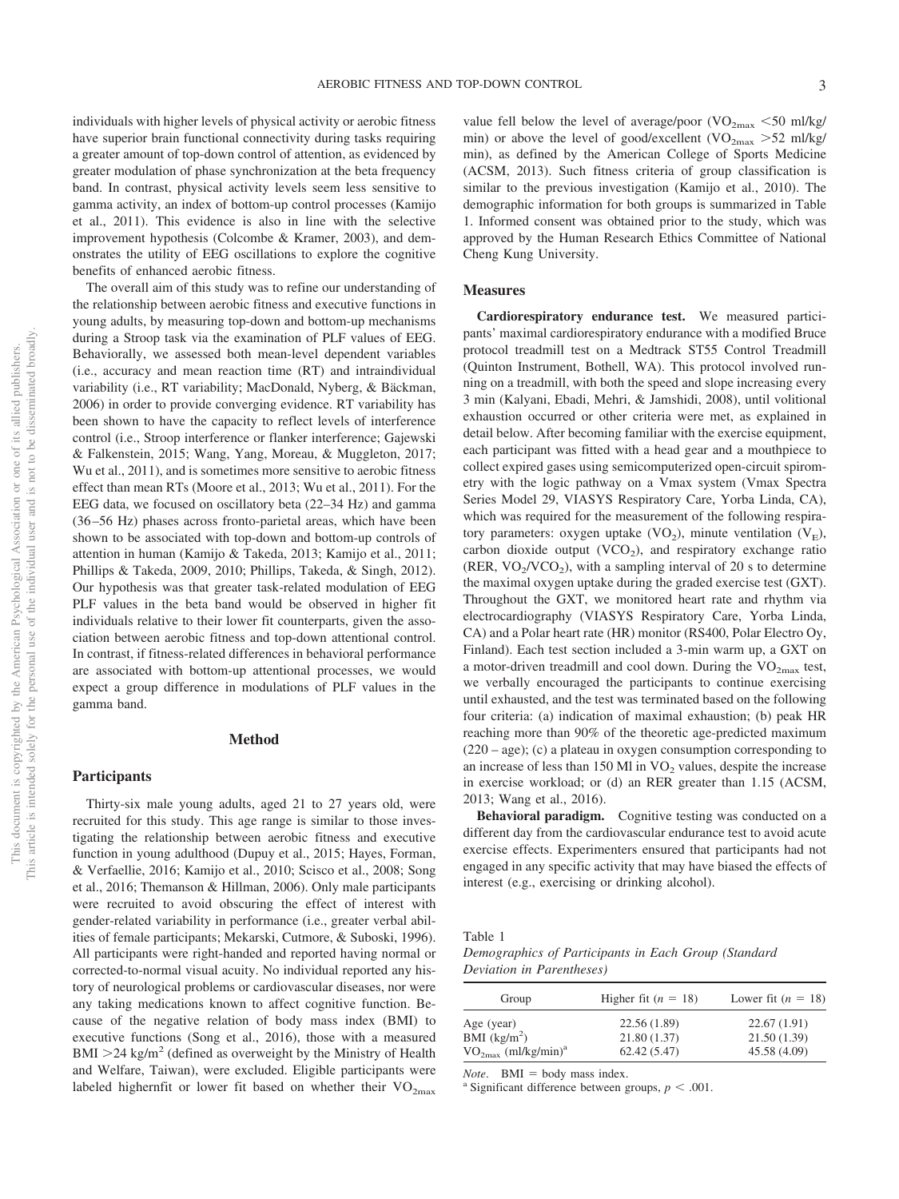individuals with higher levels of physical activity or aerobic fitness have superior brain functional connectivity during tasks requiring a greater amount of top-down control of attention, as evidenced by greater modulation of phase synchronization at the beta frequency band. In contrast, physical activity levels seem less sensitive to gamma activity, an index of bottom-up control processes (Kamijo et al., 2011). This evidence is also in line with the selective improvement hypothesis (Colcombe & Kramer, 2003), and demonstrates the utility of EEG oscillations to explore the cognitive benefits of enhanced aerobic fitness.

The overall aim of this study was to refine our understanding of the relationship between aerobic fitness and executive functions in young adults, by measuring top-down and bottom-up mechanisms during a Stroop task via the examination of PLF values of EEG. Behaviorally, we assessed both mean-level dependent variables (i.e., accuracy and mean reaction time (RT) and intraindividual variability (i.e., RT variability; MacDonald, Nyberg, & Bäckman, 2006) in order to provide converging evidence. RT variability has been shown to have the capacity to reflect levels of interference control (i.e., Stroop interference or flanker interference; Gajewski & Falkenstein, 2015; Wang, Yang, Moreau, & Muggleton, 2017; Wu et al., 2011), and is sometimes more sensitive to aerobic fitness effect than mean RTs (Moore et al., 2013; Wu et al., 2011). For the EEG data, we focused on oscillatory beta (22–34 Hz) and gamma (36 –56 Hz) phases across fronto-parietal areas, which have been shown to be associated with top-down and bottom-up controls of attention in human (Kamijo & Takeda, 2013; Kamijo et al., 2011; Phillips & Takeda, 2009, 2010; Phillips, Takeda, & Singh, 2012). Our hypothesis was that greater task-related modulation of EEG PLF values in the beta band would be observed in higher fit individuals relative to their lower fit counterparts, given the association between aerobic fitness and top-down attentional control. In contrast, if fitness-related differences in behavioral performance are associated with bottom-up attentional processes, we would expect a group difference in modulations of PLF values in the gamma band.

#### **Method**

#### **Participants**

Thirty-six male young adults, aged 21 to 27 years old, were recruited for this study. This age range is similar to those investigating the relationship between aerobic fitness and executive function in young adulthood (Dupuy et al., 2015; Hayes, Forman, & Verfaellie, 2016; Kamijo et al., 2010; Scisco et al., 2008; Song et al., 2016; Themanson & Hillman, 2006). Only male participants were recruited to avoid obscuring the effect of interest with gender-related variability in performance (i.e., greater verbal abilities of female participants; Mekarski, Cutmore, & Suboski, 1996). All participants were right-handed and reported having normal or corrected-to-normal visual acuity. No individual reported any history of neurological problems or cardiovascular diseases, nor were any taking medications known to affect cognitive function. Because of the negative relation of body mass index (BMI) to executive functions (Song et al., 2016), those with a measured  $BMI > 24$  kg/m<sup>2</sup> (defined as overweight by the Ministry of Health and Welfare, Taiwan), were excluded. Eligible participants were labeled highernfit or lower fit based on whether their  $VO_{2max}$ 

value fell below the level of average/poor  $\rm (VO_{2max}$  <50 ml/kg/ min) or above the level of good/excellent (VO<sub>2max</sub> > 52 ml/kg/ min), as defined by the American College of Sports Medicine (ACSM, 2013). Such fitness criteria of group classification is similar to the previous investigation (Kamijo et al., 2010). The demographic information for both groups is summarized in Table 1. Informed consent was obtained prior to the study, which was approved by the Human Research Ethics Committee of National Cheng Kung University.

#### **Measures**

**Cardiorespiratory endurance test.** We measured participants' maximal cardiorespiratory endurance with a modified Bruce protocol treadmill test on a Medtrack ST55 Control Treadmill (Quinton Instrument, Bothell, WA). This protocol involved running on a treadmill, with both the speed and slope increasing every 3 min (Kalyani, Ebadi, Mehri, & Jamshidi, 2008), until volitional exhaustion occurred or other criteria were met, as explained in detail below. After becoming familiar with the exercise equipment, each participant was fitted with a head gear and a mouthpiece to collect expired gases using semicomputerized open-circuit spirometry with the logic pathway on a Vmax system (Vmax Spectra Series Model 29, VIASYS Respiratory Care, Yorba Linda, CA), which was required for the measurement of the following respiratory parameters: oxygen uptake  $(VO<sub>2</sub>)$ , minute ventilation  $(V<sub>E</sub>)$ , carbon dioxide output  $(VCO<sub>2</sub>)$ , and respiratory exchange ratio (RER,  $VO_2/VCO_2$ ), with a sampling interval of 20 s to determine the maximal oxygen uptake during the graded exercise test (GXT). Throughout the GXT, we monitored heart rate and rhythm via electrocardiography (VIASYS Respiratory Care, Yorba Linda, CA) and a Polar heart rate (HR) monitor (RS400, Polar Electro Oy, Finland). Each test section included a 3-min warm up, a GXT on a motor-driven treadmill and cool down. During the  $VO_{2max}$  test, we verbally encouraged the participants to continue exercising until exhausted, and the test was terminated based on the following four criteria: (a) indication of maximal exhaustion; (b) peak HR reaching more than 90% of the theoretic age-predicted maximum (220 – age); (c) a plateau in oxygen consumption corresponding to an increase of less than 150 Ml in  $VO<sub>2</sub>$  values, despite the increase in exercise workload; or (d) an RER greater than 1.15 (ACSM, 2013; Wang et al., 2016).

**Behavioral paradigm.** Cognitive testing was conducted on a different day from the cardiovascular endurance test to avoid acute exercise effects. Experimenters ensured that participants had not engaged in any specific activity that may have biased the effects of interest (e.g., exercising or drinking alcohol).

Table 1

*Demographics of Participants in Each Group (Standard Deviation in Parentheses)*

| Group                                | Higher fit $(n = 18)$ | Lower fit $(n = 18)$ |
|--------------------------------------|-----------------------|----------------------|
| Age (year)                           | 22.56(1.89)           | 22.67(1.91)          |
| BMI $(kg/m2)$                        | 21.80(1.37)           | 21.50(1.39)          |
| $VO_{2max}$ (ml/kg/min) <sup>a</sup> | 62.42(5.47)           | 45.58 (4.09)         |

*Note*. BMI = body mass index.<br><sup>a</sup> Significant difference between groups,  $p < .001$ .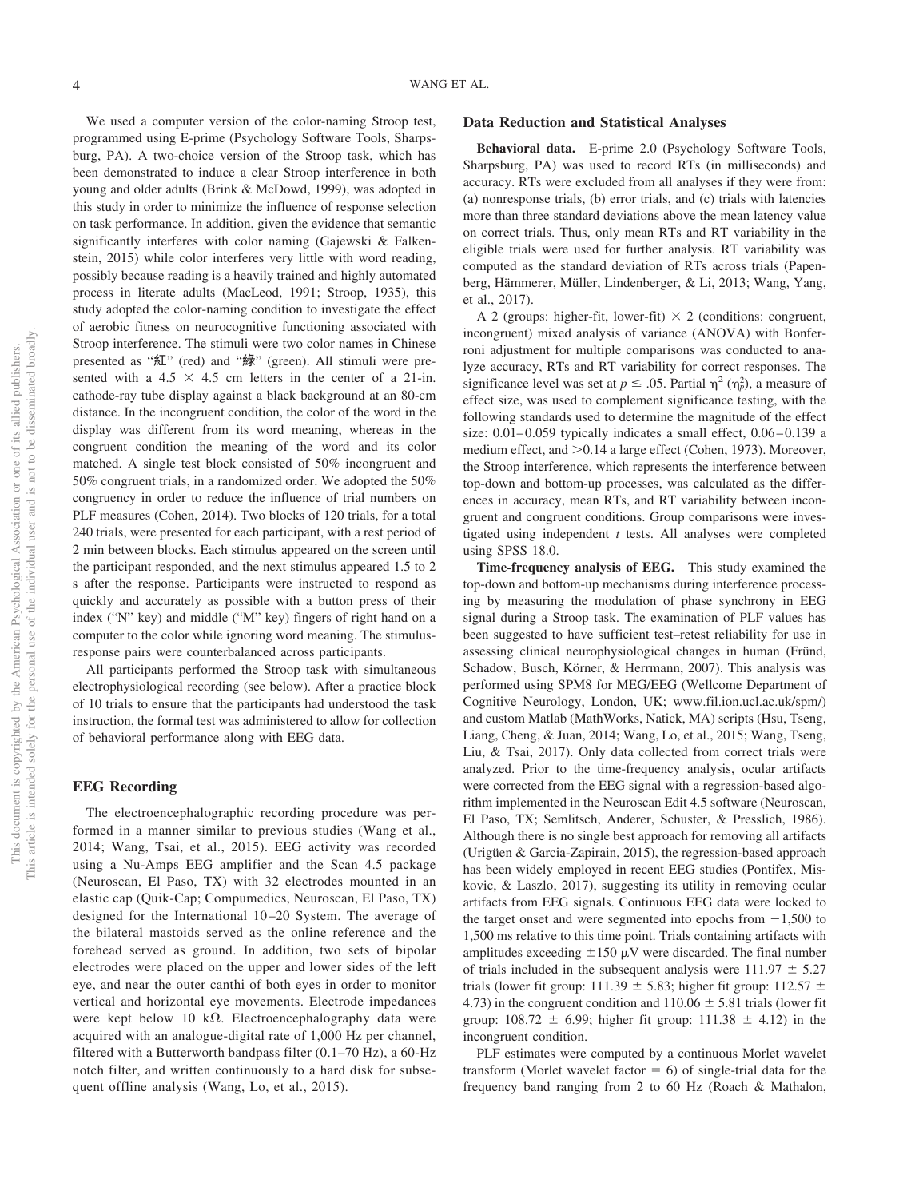We used a computer version of the color-naming Stroop test, programmed using E-prime (Psychology Software Tools, Sharpsburg, PA). A two-choice version of the Stroop task, which has been demonstrated to induce a clear Stroop interference in both young and older adults (Brink & McDowd, 1999), was adopted in this study in order to minimize the influence of response selection on task performance. In addition, given the evidence that semantic significantly interferes with color naming (Gajewski & Falkenstein, 2015) while color interferes very little with word reading, possibly because reading is a heavily trained and highly automated process in literate adults (MacLeod, 1991; Stroop, 1935), this study adopted the color-naming condition to investigate the effect of aerobic fitness on neurocognitive functioning associated with Stroop interference. The stimuli were two color names in Chinese presented as "紅" (red) and "綠" (green). All stimuli were presented with a  $4.5 \times 4.5$  cm letters in the center of a 21-in. cathode-ray tube display against a black background at an 80-cm distance. In the incongruent condition, the color of the word in the display was different from its word meaning, whereas in the congruent condition the meaning of the word and its color matched. A single test block consisted of 50% incongruent and 50% congruent trials, in a randomized order. We adopted the 50% congruency in order to reduce the influence of trial numbers on PLF measures (Cohen, 2014). Two blocks of 120 trials, for a total 240 trials, were presented for each participant, with a rest period of 2 min between blocks. Each stimulus appeared on the screen until the participant responded, and the next stimulus appeared 1.5 to 2 s after the response. Participants were instructed to respond as quickly and accurately as possible with a button press of their index ("N" key) and middle ("M" key) fingers of right hand on a computer to the color while ignoring word meaning. The stimulusresponse pairs were counterbalanced across participants.

All participants performed the Stroop task with simultaneous electrophysiological recording (see below). After a practice block of 10 trials to ensure that the participants had understood the task instruction, the formal test was administered to allow for collection of behavioral performance along with EEG data.

#### **EEG Recording**

The electroencephalographic recording procedure was performed in a manner similar to previous studies (Wang et al., 2014; Wang, Tsai, et al., 2015). EEG activity was recorded using a Nu-Amps EEG amplifier and the Scan 4.5 package (Neuroscan, El Paso, TX) with 32 electrodes mounted in an elastic cap (Quik-Cap; Compumedics, Neuroscan, El Paso, TX) designed for the International 10 –20 System. The average of the bilateral mastoids served as the online reference and the forehead served as ground. In addition, two sets of bipolar electrodes were placed on the upper and lower sides of the left eye, and near the outer canthi of both eyes in order to monitor vertical and horizontal eye movements. Electrode impedances were kept below 10 k $\Omega$ . Electroencephalography data were acquired with an analogue-digital rate of 1,000 Hz per channel, filtered with a Butterworth bandpass filter (0.1–70 Hz), a 60-Hz notch filter, and written continuously to a hard disk for subsequent offline analysis [\(Wang, Lo, et al., 2015\)](#page-10-1).

### **Data Reduction and Statistical Analyses**

**Behavioral data.** E-prime 2.0 (Psychology Software Tools, Sharpsburg, PA) was used to record RTs (in milliseconds) and accuracy. RTs were excluded from all analyses if they were from: (a) nonresponse trials, (b) error trials, and (c) trials with latencies more than three standard deviations above the mean latency value on correct trials. Thus, only mean RTs and RT variability in the eligible trials were used for further analysis. RT variability was computed as the standard deviation of RTs across trials [\(Papen](#page-9-1)[berg, Hämmerer, Müller, Lindenberger, & Li, 2013;](#page-9-1) Wang, Yang, et al., 2017).

A 2 (groups: higher-fit, lower-fit)  $\times$  2 (conditions: congruent, incongruent) mixed analysis of variance (ANOVA) with Bonferroni adjustment for multiple comparisons was conducted to analyze accuracy, RTs and RT variability for correct responses. The significance level was set at  $p \leq 0.05$ . Partial  $\eta^2 (\eta_p^2)$ , a measure of effect size, was used to complement significance testing, with the following standards used to determine the magnitude of the effect size:  $0.01-0.059$  typically indicates a small effect,  $0.06-0.139$  a medium effect, and  $> 0.14$  a large effect (Cohen, 1973). Moreover, the Stroop interference, which represents the interference between top-down and bottom-up processes, was calculated as the differences in accuracy, mean RTs, and RT variability between incongruent and congruent conditions. Group comparisons were investigated using independent *t* tests. All analyses were completed using SPSS 18.0.

**Time-frequency analysis of EEG.** This study examined the top-down and bottom-up mechanisms during interference processing by measuring the modulation of phase synchrony in EEG signal during a Stroop task. The examination of PLF values has been suggested to have sufficient test–retest reliability for use in assessing clinical neurophysiological changes in human (Fründ, Schadow, Busch, Körner, & Herrmann, 2007). This analysis was performed using SPM8 for MEG/EEG (Wellcome Department of Cognitive Neurology, London, UK; [www.fil.ion.ucl.ac.uk/spm/\)](http://www.fil.ion.ucl.ac.uk/spm/) and custom Matlab (MathWorks, Natick, MA) scripts (Hsu, Tseng, Liang, Cheng, & Juan, 2014; [Wang, Lo, et al., 2015;](#page-10-1) Wang, Tseng, Liu, & Tsai, 2017). Only data collected from correct trials were analyzed. Prior to the time-frequency analysis, ocular artifacts were corrected from the EEG signal with a regression-based algorithm implemented in the Neuroscan Edit 4.5 software (Neuroscan, El Paso, TX; Semlitsch, Anderer, Schuster, & Presslich, 1986). Although there is no single best approach for removing all artifacts (Urigüen & Garcia-Zapirain, 2015), the regression-based approach has been widely employed in recent EEG studies (Pontifex, Miskovic, & Laszlo, 2017), suggesting its utility in removing ocular artifacts from EEG signals. Continuous EEG data were locked to the target onset and were segmented into epochs from  $-1,500$  to 1,500 ms relative to this time point. Trials containing artifacts with amplitudes exceeding  $\pm 150 \mu V$  were discarded. The final number of trials included in the subsequent analysis were  $111.97 \pm 5.27$ trials (lower fit group: 111.39  $\pm$  5.83; higher fit group: 112.57  $\pm$ 4.73) in the congruent condition and  $110.06 \pm 5.81$  trials (lower fit group:  $108.72 \pm 6.99$ ; higher fit group:  $111.38 \pm 4.12$ ) in the incongruent condition.

PLF estimates were computed by a continuous Morlet wavelet transform (Morlet wavelet factor  $= 6$ ) of single-trial data for the frequency band ranging from 2 to 60 Hz (Roach & Mathalon,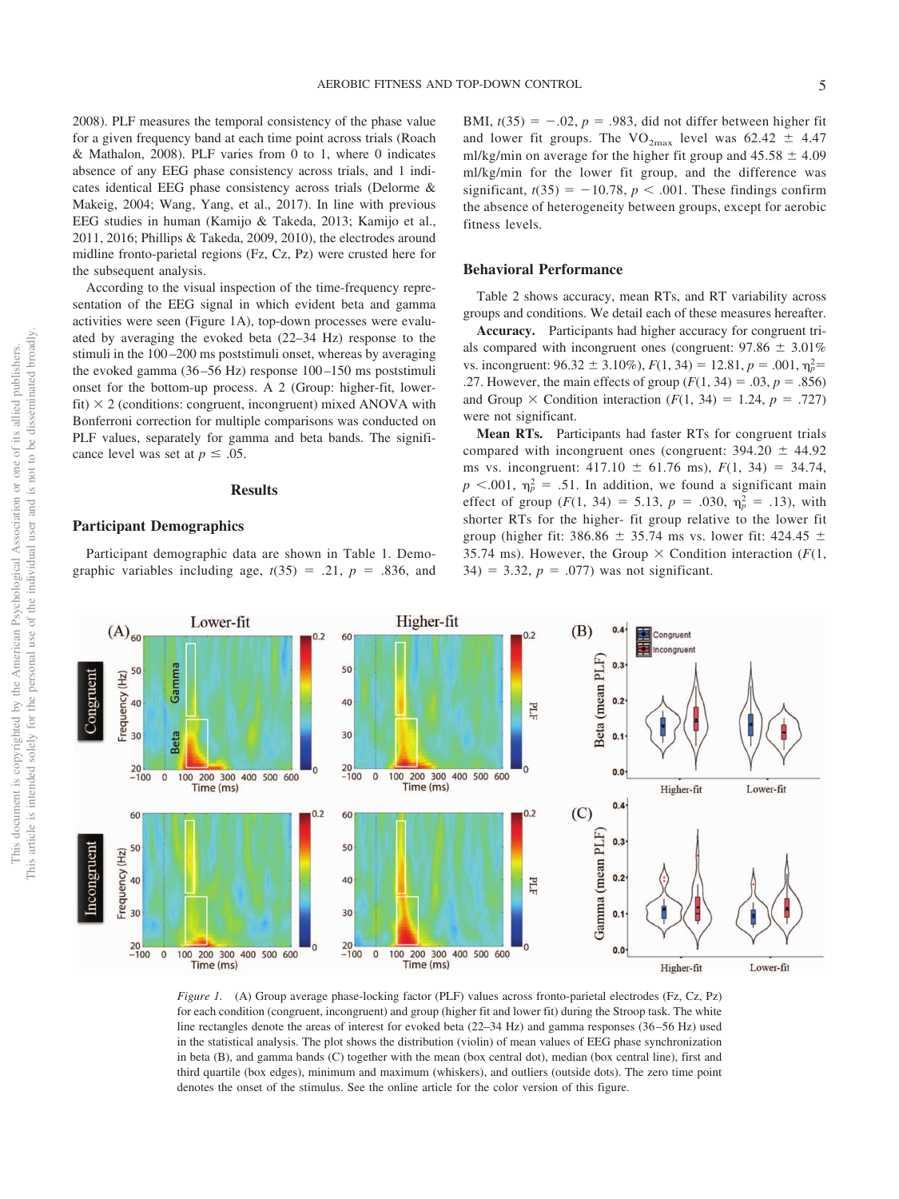2008). PLF measures the temporal consistency of the phase value for a given frequency band at each time point across trials (Roach & Mathalon, 2008). PLF varies from 0 to 1, where 0 indicates absence of any EEG phase consistency across trials, and 1 indicates identical EEG phase consistency across trials (Delorme & Makeig, 2004; Wang, Yang, et al., 2017). In line with previous EEG studies in human (Kamijo & Takeda, 2013; Kamijo et al., 2011, 2016; Phillips & Takeda, 2009, 2010), the electrodes around midline fronto-parietal regions (Fz, Cz, Pz) were crusted here for the subsequent analysis.

According to the visual inspection of the time-frequency representation of the EEG signal in which evident beta and gamma activities were seen (Figure 1A), top-down processes were evaluated by averaging the evoked beta (22–34 Hz) response to the stimuli in the 100 –200 ms poststimuli onset, whereas by averaging the evoked gamma (36 –56 Hz) response 100 –150 ms poststimuli onset for the bottom-up process. A 2 (Group: higher-fit, lowerfit)  $\times$  2 (conditions: congruent, incongruent) mixed ANOVA with Bonferroni correction for multiple comparisons was conducted on PLF values, separately for gamma and beta bands. The significance level was set at  $p \leq .05$ .

### **Results**

# **Participant Demographics**

Participant demographic data are shown in Table 1. Demographic variables including age,  $t(35) = .21$ ,  $p = .836$ , and BMI,  $t(35) = -.02$ ,  $p = .983$ , did not differ between higher fit and lower fit groups. The  $VO_{2max}$  level was 62.42  $\pm$  4.47 ml/kg/min on average for the higher fit group and  $45.58 \pm 4.09$ ml/kg/min for the lower fit group, and the difference was significant,  $t(35) = -10.78$ ,  $p < .001$ . These findings confirm the absence of heterogeneity between groups, except for aerobic fitness levels.

#### **Behavioral Performance**

Table 2 shows accuracy, mean RTs, and RT variability across groups and conditions. We detail each of these measures hereafter.

**Accuracy.** Participants had higher accuracy for congruent trials compared with incongruent ones (congruent:  $97.86 \pm 3.01\%$ ) vs. incongruent:  $96.32 \pm 3.10\%$ ,  $F(1, 34) = 12.81$ ,  $p = .001$ ,  $\eta_p^2 =$ .27. However, the main effects of group  $(F(1, 34) = .03, p = .856)$ and Group  $\times$  Condition interaction ( $F(1, 34) = 1.24$ ,  $p = .727$ ) were not significant.

**Mean RTs.** Participants had faster RTs for congruent trials compared with incongruent ones (congruent:  $394.20 \pm 44.92$ ms vs. incongruent:  $417.10 \pm 61.76$  ms),  $F(1, 34) = 34.74$ ,  $p$  <.001,  $\eta_p^2$  = .51. In addition, we found a significant main effect of group  $(F(1, 34) = 5.13, p = .030, \eta_p^2 = .13)$ , with shorter RTs for the higher- fit group relative to the lower fit group (higher fit: 386.86  $\pm$  35.74 ms vs. lower fit: 424.45  $\pm$ 35.74 ms). However, the Group  $\times$  Condition interaction ( $F(1,$  $34) = 3.32, p = .077$ ) was not significant.



*Figure 1.* (A) Group average phase-locking factor (PLF) values across fronto-parietal electrodes (Fz, Cz, Pz) for each condition (congruent, incongruent) and group (higher fit and lower fit) during the Stroop task. The white line rectangles denote the areas of interest for evoked beta (22–34 Hz) and gamma responses (36 –56 Hz) used in the statistical analysis. The plot shows the distribution (violin) of mean values of EEG phase synchronization in beta (B), and gamma bands (C) together with the mean (box central dot), median (box central line), first and third quartile (box edges), minimum and maximum (whiskers), and outliers (outside dots). The zero time point denotes the onset of the stimulus. See the online article for the color version of this figure.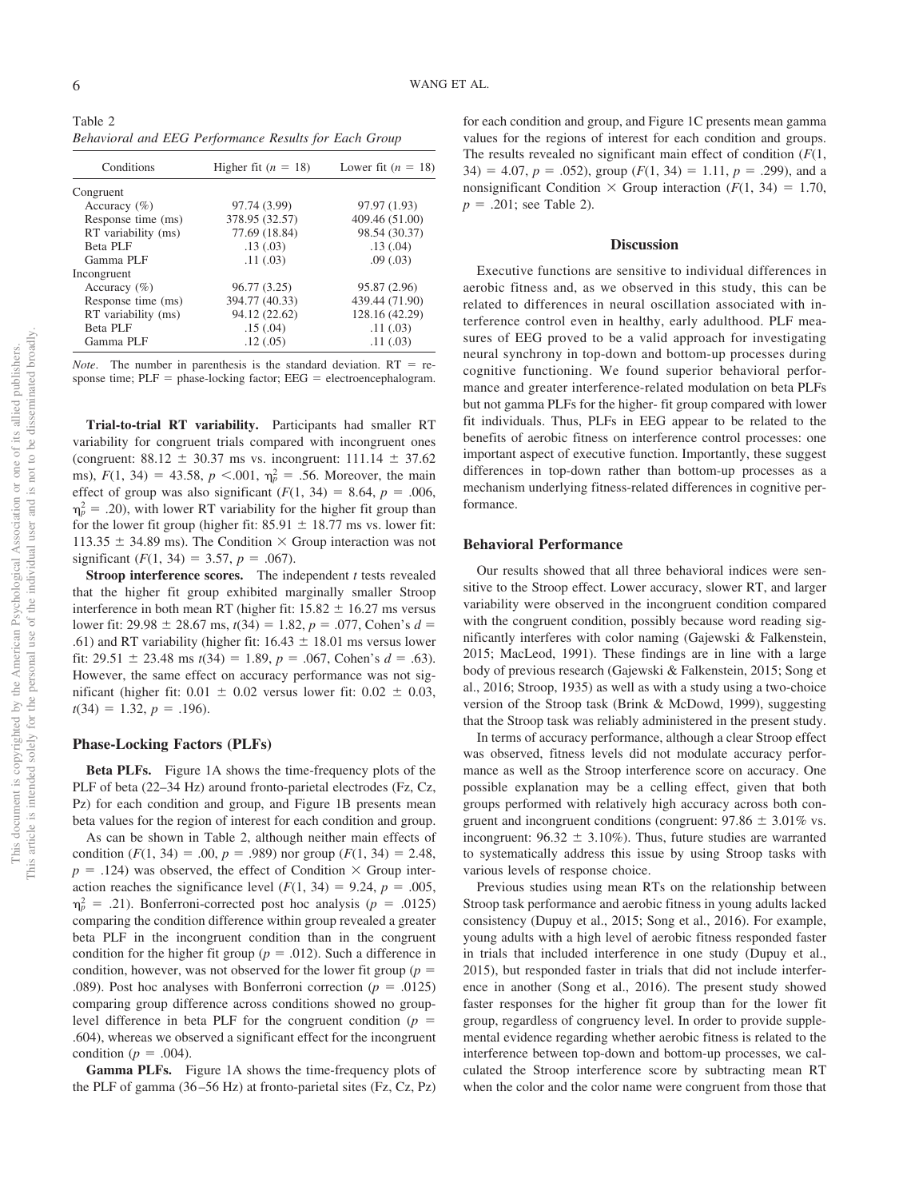Table 2 *Behavioral and EEG Performance Results for Each Group*

| Conditions          | Higher fit $(n = 18)$ | Lower fit $(n = 18)$ |
|---------------------|-----------------------|----------------------|
| Congruent           |                       |                      |
| Accuracy $(\% )$    | 97.74 (3.99)          | 97.97 (1.93)         |
| Response time (ms)  | 378.95 (32.57)        | 409.46 (51.00)       |
| RT variability (ms) | 77.69 (18.84)         | 98.54 (30.37)        |
| Beta PLF            | .13(0.03)             | .13(0.04)            |
| Gamma PLF           | .11(.03)              | .09(0.03)            |
| Incongruent         |                       |                      |
| Accuracy $(\% )$    | 96.77 (3.25)          | 95.87 (2.96)         |
| Response time (ms)  | 394.77 (40.33)        | 439.44 (71.90)       |
| RT variability (ms) | 94.12 (22.62)         | 128.16 (42.29)       |
| Beta PLF            | .15(.04)              | .11(.03)             |
| Gamma PLF           | .12(.05)              | .11(.03)             |

*Note*. The number in parenthesis is the standard deviation.  $RT = re$ sponse time;  $PLF =$  phase-locking factor;  $EEG =$  electroencephalogram.

**Trial-to-trial RT variability.** Participants had smaller RT variability for congruent trials compared with incongruent ones (congruent:  $88.12 \pm 30.37$  ms vs. incongruent:  $111.14 \pm 37.62$ ms),  $F(1, 34) = 43.58$ ,  $p < .001$ ,  $\eta_p^2 = .56$ . Moreover, the main effect of group was also significant  $(F(1, 34) = 8.64, p = .006,$  $m_p^2 = .20$ ), with lower RT variability for the higher fit group than for the lower fit group (higher fit:  $85.91 \pm 18.77$  ms vs. lower fit: 113.35  $\pm$  34.89 ms). The Condition  $\times$  Group interaction was not significant  $(F(1, 34) = 3.57, p = .067)$ .

**Stroop interference scores.** The independent *t* tests revealed that the higher fit group exhibited marginally smaller Stroop interference in both mean RT (higher fit:  $15.82 \pm 16.27$  ms versus lower fit: 29.98  $\pm$  28.67 ms, *t*(34) = 1.82, *p* = .077, Cohen's *d* = .61) and RT variability (higher fit:  $16.43 \pm 18.01$  ms versus lower fit:  $29.51 \pm 23.48$  ms  $t(34) = 1.89$ ,  $p = .067$ , Cohen's  $d = .63$ ). However, the same effect on accuracy performance was not significant (higher fit:  $0.01 \pm 0.02$  versus lower fit:  $0.02 \pm 0.03$ ,  $t(34) = 1.32, p = .196$ .

### **Phase-Locking Factors (PLFs)**

**Beta PLFs.** Figure 1A shows the time-frequency plots of the PLF of beta (22–34 Hz) around fronto-parietal electrodes (Fz, Cz, Pz) for each condition and group, and Figure 1B presents mean beta values for the region of interest for each condition and group.

As can be shown in Table 2, although neither main effects of condition  $(F(1, 34) = .00, p = .989)$  nor group  $(F(1, 34) = 2.48,$  $p = .124$ ) was observed, the effect of Condition  $\times$  Group interaction reaches the significance level  $(F(1, 34) = 9.24, p = .005,$  $m_p^2 = .21$ ). Bonferroni-corrected post hoc analysis ( $p = .0125$ ) comparing the condition difference within group revealed a greater beta PLF in the incongruent condition than in the congruent condition for the higher fit group ( $p = .012$ ). Such a difference in condition, however, was not observed for the lower fit group ( $p =$ .089). Post hoc analyses with Bonferroni correction ( $p = .0125$ ) comparing group difference across conditions showed no grouplevel difference in beta PLF for the congruent condition  $(p =$ .604), whereas we observed a significant effect for the incongruent condition ( $p = .004$ ).

**Gamma PLFs.** Figure 1A shows the time-frequency plots of the PLF of gamma (36 –56 Hz) at fronto-parietal sites (Fz, Cz, Pz)

for each condition and group, and Figure 1C presents mean gamma values for the regions of interest for each condition and groups. The results revealed no significant main effect of condition (*F*(1,  $34) = 4.07, p = .052$ , group  $(F(1, 34) = 1.11, p = .299)$ , and a nonsignificant Condition  $\times$  Group interaction ( $F(1, 34) = 1.70$ ,  $p = .201$ ; see Table 2).

#### **Discussion**

Executive functions are sensitive to individual differences in aerobic fitness and, as we observed in this study, this can be related to differences in neural oscillation associated with interference control even in healthy, early adulthood. PLF measures of EEG proved to be a valid approach for investigating neural synchrony in top-down and bottom-up processes during cognitive functioning. We found superior behavioral performance and greater interference-related modulation on beta PLFs but not gamma PLFs for the higher- fit group compared with lower fit individuals. Thus, PLFs in EEG appear to be related to the benefits of aerobic fitness on interference control processes: one important aspect of executive function. Importantly, these suggest differences in top-down rather than bottom-up processes as a mechanism underlying fitness-related differences in cognitive performance.

## **Behavioral Performance**

Our results showed that all three behavioral indices were sensitive to the Stroop effect. Lower accuracy, slower RT, and larger variability were observed in the incongruent condition compared with the congruent condition, possibly because word reading significantly interferes with color naming (Gajewski & Falkenstein, 2015; MacLeod, 1991). These findings are in line with a large body of previous research (Gajewski & Falkenstein, 2015; Song et al., 2016; Stroop, 1935) as well as with a study using a two-choice version of the Stroop task (Brink & McDowd, 1999), suggesting that the Stroop task was reliably administered in the present study.

In terms of accuracy performance, although a clear Stroop effect was observed, fitness levels did not modulate accuracy performance as well as the Stroop interference score on accuracy. One possible explanation may be a celling effect, given that both groups performed with relatively high accuracy across both congruent and incongruent conditions (congruent:  $97.86 \pm 3.01\%$  vs. incongruent:  $96.32 \pm 3.10\%$ ). Thus, future studies are warranted to systematically address this issue by using Stroop tasks with various levels of response choice.

Previous studies using mean RTs on the relationship between Stroop task performance and aerobic fitness in young adults lacked consistency (Dupuy et al., 2015; Song et al., 2016). For example, young adults with a high level of aerobic fitness responded faster in trials that included interference in one study (Dupuy et al., 2015), but responded faster in trials that did not include interference in another (Song et al., 2016). The present study showed faster responses for the higher fit group than for the lower fit group, regardless of congruency level. In order to provide supplemental evidence regarding whether aerobic fitness is related to the interference between top-down and bottom-up processes, we calculated the Stroop interference score by subtracting mean RT when the color and the color name were congruent from those that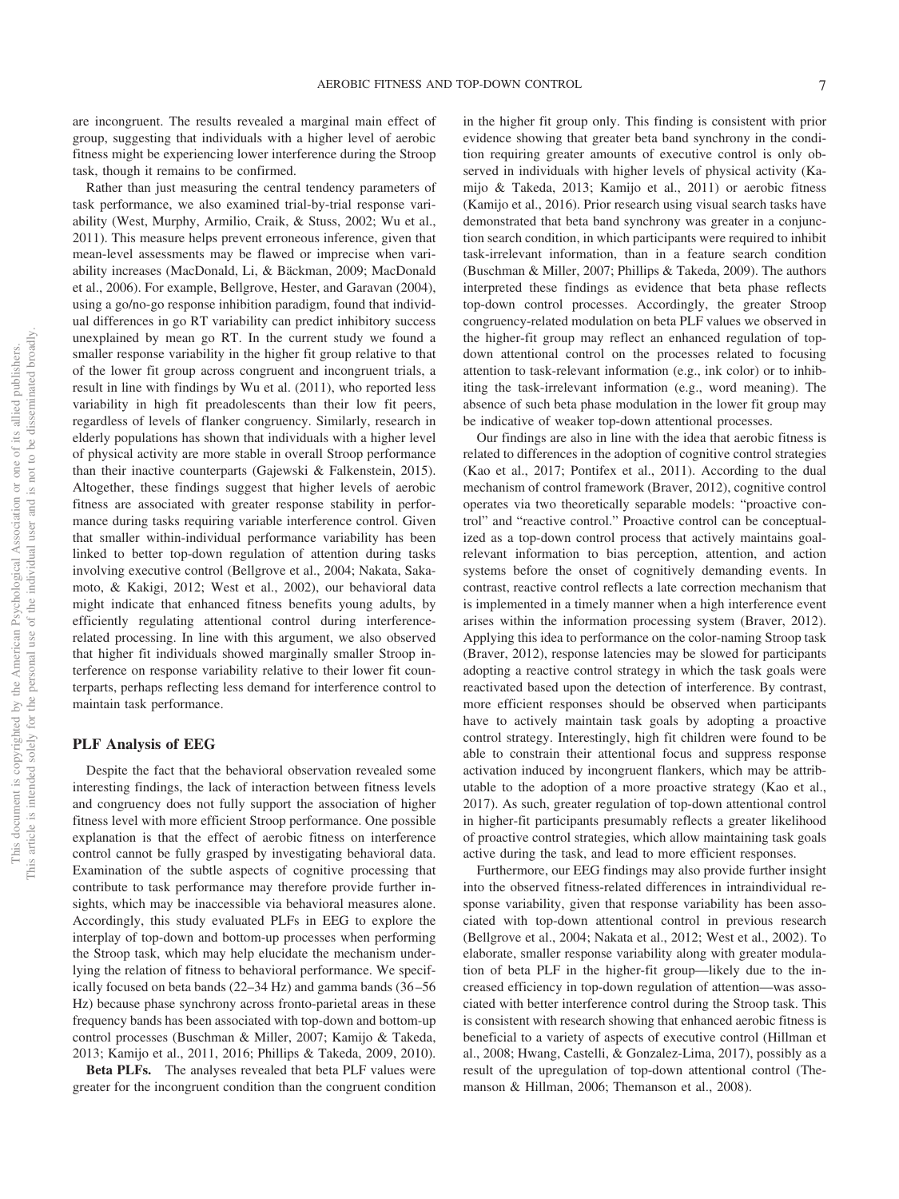are incongruent. The results revealed a marginal main effect of group, suggesting that individuals with a higher level of aerobic fitness might be experiencing lower interference during the Stroop task, though it remains to be confirmed.

Rather than just measuring the central tendency parameters of task performance, we also examined trial-by-trial response variability (West, Murphy, Armilio, Craik, & Stuss, 2002; Wu et al., 2011). This measure helps prevent erroneous inference, given that mean-level assessments may be flawed or imprecise when variability increases (MacDonald, Li, & Bäckman, 2009; MacDonald et al., 2006). For example, Bellgrove, Hester, and Garavan (2004), using a go/no-go response inhibition paradigm, found that individual differences in go RT variability can predict inhibitory success unexplained by mean go RT. In the current study we found a smaller response variability in the higher fit group relative to that of the lower fit group across congruent and incongruent trials, a result in line with findings by Wu et al. (2011), who reported less variability in high fit preadolescents than their low fit peers, regardless of levels of flanker congruency. Similarly, research in elderly populations has shown that individuals with a higher level of physical activity are more stable in overall Stroop performance than their inactive counterparts (Gajewski & Falkenstein, 2015). Altogether, these findings suggest that higher levels of aerobic fitness are associated with greater response stability in performance during tasks requiring variable interference control. Given that smaller within-individual performance variability has been linked to better top-down regulation of attention during tasks involving executive control (Bellgrove et al., 2004; Nakata, Sakamoto, & Kakigi, 2012; West et al., 2002), our behavioral data might indicate that enhanced fitness benefits young adults, by efficiently regulating attentional control during interferencerelated processing. In line with this argument, we also observed that higher fit individuals showed marginally smaller Stroop interference on response variability relative to their lower fit counterparts, perhaps reflecting less demand for interference control to maintain task performance.

### **PLF Analysis of EEG**

Despite the fact that the behavioral observation revealed some interesting findings, the lack of interaction between fitness levels and congruency does not fully support the association of higher fitness level with more efficient Stroop performance. One possible explanation is that the effect of aerobic fitness on interference control cannot be fully grasped by investigating behavioral data. Examination of the subtle aspects of cognitive processing that contribute to task performance may therefore provide further insights, which may be inaccessible via behavioral measures alone. Accordingly, this study evaluated PLFs in EEG to explore the interplay of top-down and bottom-up processes when performing the Stroop task, which may help elucidate the mechanism underlying the relation of fitness to behavioral performance. We specifically focused on beta bands (22–34 Hz) and gamma bands (36 –56 Hz) because phase synchrony across fronto-parietal areas in these frequency bands has been associated with top-down and bottom-up control processes (Buschman & Miller, 2007; Kamijo & Takeda, 2013; Kamijo et al., 2011, 2016; Phillips & Takeda, 2009, 2010).

**Beta PLFs.** The analyses revealed that beta PLF values were greater for the incongruent condition than the congruent condition in the higher fit group only. This finding is consistent with prior evidence showing that greater beta band synchrony in the condition requiring greater amounts of executive control is only observed in individuals with higher levels of physical activity (Kamijo & Takeda, 2013; Kamijo et al., 2011) or aerobic fitness (Kamijo et al., 2016). Prior research using visual search tasks have demonstrated that beta band synchrony was greater in a conjunction search condition, in which participants were required to inhibit task-irrelevant information, than in a feature search condition (Buschman & Miller, 2007; Phillips & Takeda, 2009). The authors interpreted these findings as evidence that beta phase reflects top-down control processes. Accordingly, the greater Stroop congruency-related modulation on beta PLF values we observed in the higher-fit group may reflect an enhanced regulation of topdown attentional control on the processes related to focusing attention to task-relevant information (e.g., ink color) or to inhibiting the task-irrelevant information (e.g., word meaning). The absence of such beta phase modulation in the lower fit group may be indicative of weaker top-down attentional processes.

Our findings are also in line with the idea that aerobic fitness is related to differences in the adoption of cognitive control strategies (Kao et al., 2017; Pontifex et al., 2011). According to the dual mechanism of control framework (Braver, 2012), cognitive control operates via two theoretically separable models: "proactive control" and "reactive control." Proactive control can be conceptualized as a top-down control process that actively maintains goalrelevant information to bias perception, attention, and action systems before the onset of cognitively demanding events. In contrast, reactive control reflects a late correction mechanism that is implemented in a timely manner when a high interference event arises within the information processing system (Braver, 2012). Applying this idea to performance on the color-naming Stroop task (Braver, 2012), response latencies may be slowed for participants adopting a reactive control strategy in which the task goals were reactivated based upon the detection of interference. By contrast, more efficient responses should be observed when participants have to actively maintain task goals by adopting a proactive control strategy. Interestingly, high fit children were found to be able to constrain their attentional focus and suppress response activation induced by incongruent flankers, which may be attributable to the adoption of a more proactive strategy (Kao et al., 2017). As such, greater regulation of top-down attentional control in higher-fit participants presumably reflects a greater likelihood of proactive control strategies, which allow maintaining task goals active during the task, and lead to more efficient responses.

Furthermore, our EEG findings may also provide further insight into the observed fitness-related differences in intraindividual response variability, given that response variability has been associated with top-down attentional control in previous research (Bellgrove et al., 2004; Nakata et al., 2012; West et al., 2002). To elaborate, smaller response variability along with greater modulation of beta PLF in the higher-fit group—likely due to the increased efficiency in top-down regulation of attention—was associated with better interference control during the Stroop task. This is consistent with research showing that enhanced aerobic fitness is beneficial to a variety of aspects of executive control (Hillman et al., 2008; Hwang, Castelli, & Gonzalez-Lima, 2017), possibly as a result of the upregulation of top-down attentional control (Themanson & Hillman, 2006; Themanson et al., 2008).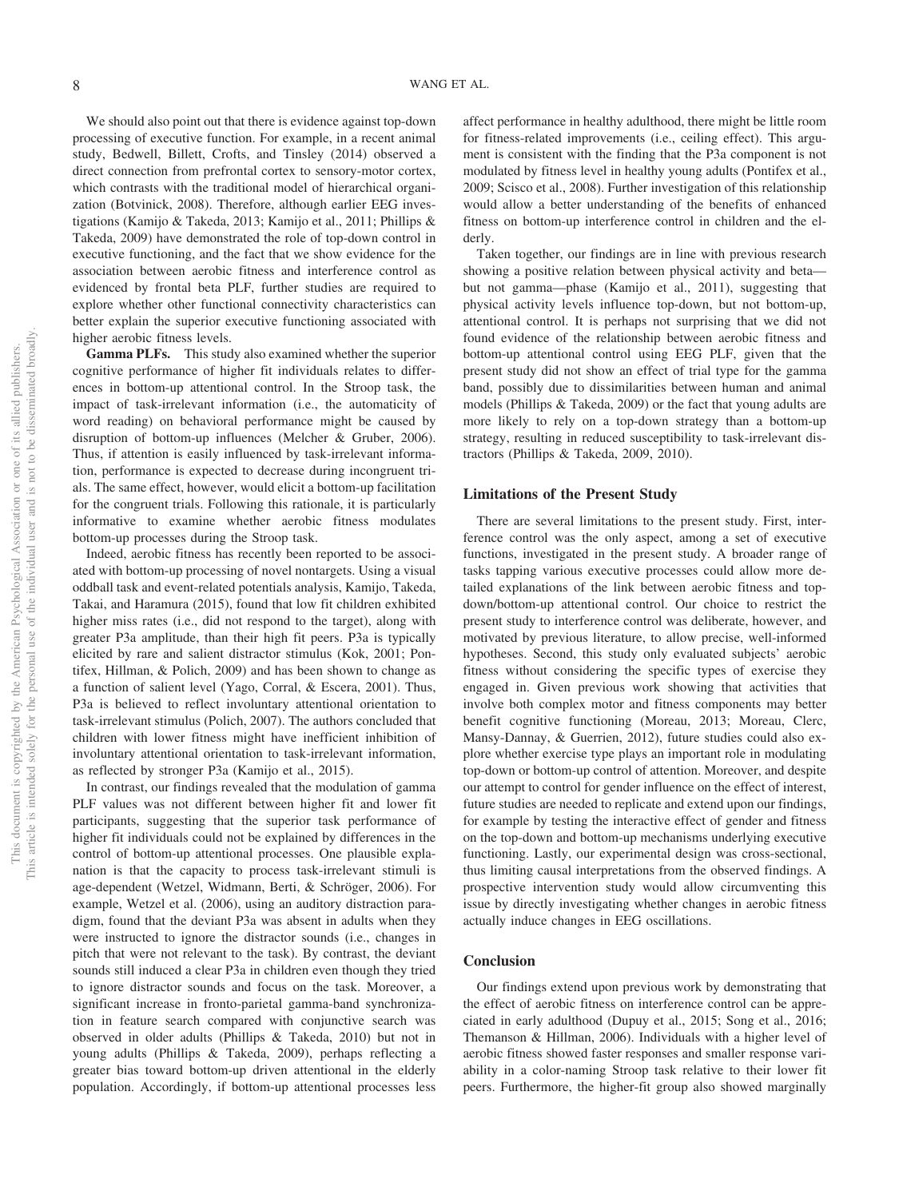We should also point out that there is evidence against top-down processing of executive function. For example, in a recent animal study, Bedwell, Billett, Crofts, and Tinsley (2014) observed a direct connection from prefrontal cortex to sensory-motor cortex, which contrasts with the traditional model of hierarchical organization (Botvinick, 2008). Therefore, although earlier EEG investigations (Kamijo & Takeda, 2013; Kamijo et al., 2011; Phillips & Takeda, 2009) have demonstrated the role of top-down control in executive functioning, and the fact that we show evidence for the association between aerobic fitness and interference control as evidenced by frontal beta PLF, further studies are required to explore whether other functional connectivity characteristics can better explain the superior executive functioning associated with higher aerobic fitness levels.

**Gamma PLFs.** This study also examined whether the superior cognitive performance of higher fit individuals relates to differences in bottom-up attentional control. In the Stroop task, the impact of task-irrelevant information (i.e., the automaticity of word reading) on behavioral performance might be caused by disruption of bottom-up influences (Melcher & Gruber, 2006). Thus, if attention is easily influenced by task-irrelevant information, performance is expected to decrease during incongruent trials. The same effect, however, would elicit a bottom-up facilitation for the congruent trials. Following this rationale, it is particularly informative to examine whether aerobic fitness modulates bottom-up processes during the Stroop task.

Indeed, aerobic fitness has recently been reported to be associated with bottom-up processing of novel nontargets. Using a visual oddball task and event-related potentials analysis, Kamijo, Takeda, Takai, and Haramura (2015), found that low fit children exhibited higher miss rates (i.e., did not respond to the target), along with greater P3a amplitude, than their high fit peers. P3a is typically elicited by rare and salient distractor stimulus (Kok, 2001; Pontifex, Hillman, & Polich, 2009) and has been shown to change as a function of salient level (Yago, Corral, & Escera, 2001). Thus, P3a is believed to reflect involuntary attentional orientation to task-irrelevant stimulus (Polich, 2007). The authors concluded that children with lower fitness might have inefficient inhibition of involuntary attentional orientation to task-irrelevant information, as reflected by stronger P3a (Kamijo et al., 2015).

In contrast, our findings revealed that the modulation of gamma PLF values was not different between higher fit and lower fit participants, suggesting that the superior task performance of higher fit individuals could not be explained by differences in the control of bottom-up attentional processes. One plausible explanation is that the capacity to process task-irrelevant stimuli is age-dependent (Wetzel, Widmann, Berti, & Schröger, 2006). For example, Wetzel et al. (2006), using an auditory distraction paradigm, found that the deviant P3a was absent in adults when they were instructed to ignore the distractor sounds (i.e., changes in pitch that were not relevant to the task). By contrast, the deviant sounds still induced a clear P3a in children even though they tried to ignore distractor sounds and focus on the task. Moreover, a significant increase in fronto-parietal gamma-band synchronization in feature search compared with conjunctive search was observed in older adults (Phillips & Takeda, 2010) but not in young adults (Phillips & Takeda, 2009), perhaps reflecting a greater bias toward bottom-up driven attentional in the elderly population. Accordingly, if bottom-up attentional processes less

affect performance in healthy adulthood, there might be little room for fitness-related improvements (i.e., ceiling effect). This argument is consistent with the finding that the P3a component is not modulated by fitness level in healthy young adults (Pontifex et al., 2009; Scisco et al., 2008). Further investigation of this relationship would allow a better understanding of the benefits of enhanced fitness on bottom-up interference control in children and the elderly.

Taken together, our findings are in line with previous research showing a positive relation between physical activity and beta but not gamma—phase (Kamijo et al., 2011), suggesting that physical activity levels influence top-down, but not bottom-up, attentional control. It is perhaps not surprising that we did not found evidence of the relationship between aerobic fitness and bottom-up attentional control using EEG PLF, given that the present study did not show an effect of trial type for the gamma band, possibly due to dissimilarities between human and animal models (Phillips & Takeda, 2009) or the fact that young adults are more likely to rely on a top-down strategy than a bottom-up strategy, resulting in reduced susceptibility to task-irrelevant distractors (Phillips & Takeda, 2009, 2010).

#### **Limitations of the Present Study**

There are several limitations to the present study. First, interference control was the only aspect, among a set of executive functions, investigated in the present study. A broader range of tasks tapping various executive processes could allow more detailed explanations of the link between aerobic fitness and topdown/bottom-up attentional control. Our choice to restrict the present study to interference control was deliberate, however, and motivated by previous literature, to allow precise, well-informed hypotheses. Second, this study only evaluated subjects' aerobic fitness without considering the specific types of exercise they engaged in. Given previous work showing that activities that involve both complex motor and fitness components may better benefit cognitive functioning (Moreau, 2013; Moreau, Clerc, Mansy-Dannay, & Guerrien, 2012), future studies could also explore whether exercise type plays an important role in modulating top-down or bottom-up control of attention. Moreover, and despite our attempt to control for gender influence on the effect of interest, future studies are needed to replicate and extend upon our findings, for example by testing the interactive effect of gender and fitness on the top-down and bottom-up mechanisms underlying executive functioning. Lastly, our experimental design was cross-sectional, thus limiting causal interpretations from the observed findings. A prospective intervention study would allow circumventing this issue by directly investigating whether changes in aerobic fitness actually induce changes in EEG oscillations.

# **Conclusion**

Our findings extend upon previous work by demonstrating that the effect of aerobic fitness on interference control can be appreciated in early adulthood (Dupuy et al., 2015; Song et al., 2016; Themanson & Hillman, 2006). Individuals with a higher level of aerobic fitness showed faster responses and smaller response variability in a color-naming Stroop task relative to their lower fit peers. Furthermore, the higher-fit group also showed marginally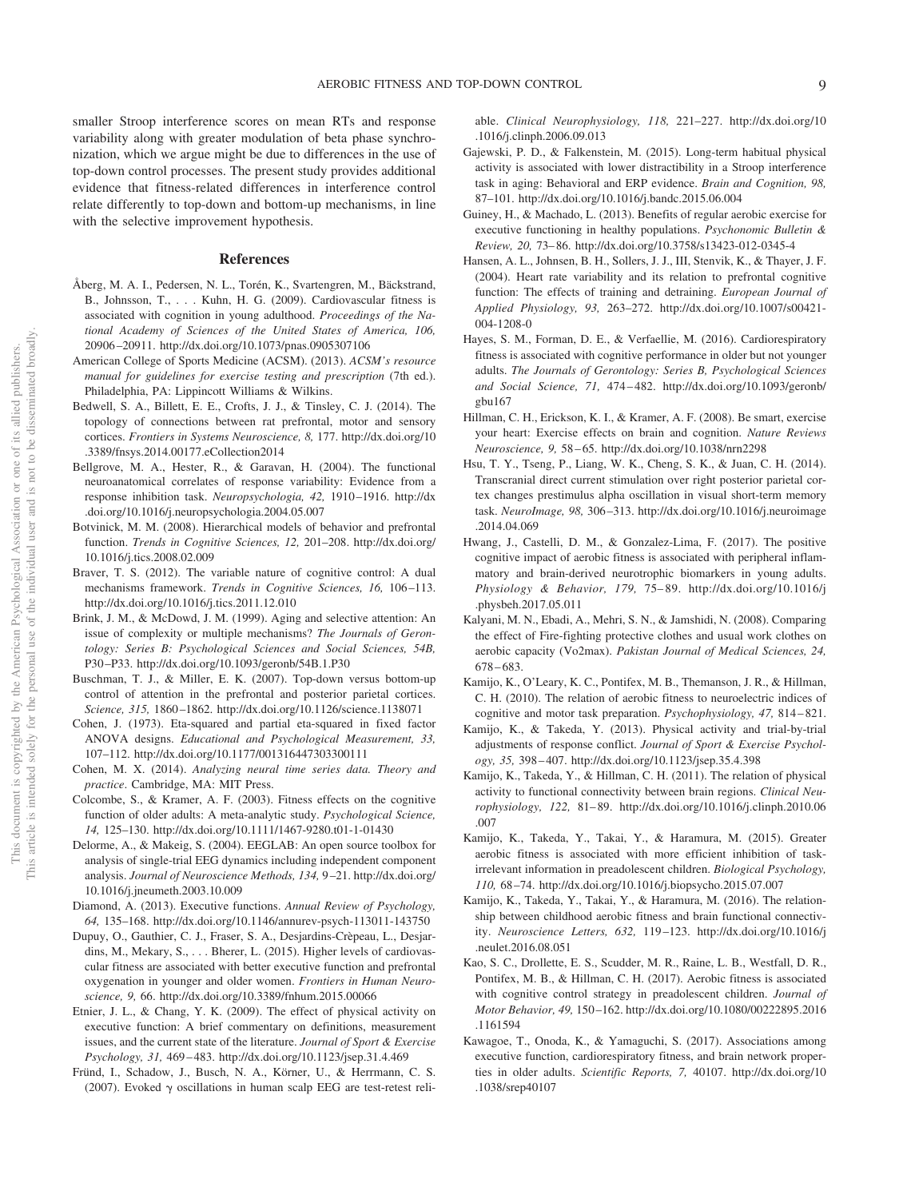smaller Stroop interference scores on mean RTs and response variability along with greater modulation of beta phase synchronization, which we argue might be due to differences in the use of top-down control processes. The present study provides additional evidence that fitness-related differences in interference control relate differently to top-down and bottom-up mechanisms, in line with the selective improvement hypothesis.

## **References**

- Åberg, M. A. I., Pedersen, N. L., Torén, K., Svartengren, M., Bäckstrand, B., Johnsson, T.,... Kuhn, H. G. (2009). Cardiovascular fitness is associated with cognition in young adulthood. *Proceedings of the National Academy of Sciences of the United States of America, 106,* 20906 –20911.<http://dx.doi.org/10.1073/pnas.0905307106>
- American College of Sports Medicine (ACSM). (2013). *ACSM's resource manual for guidelines for exercise testing and prescription* (7th ed.). Philadelphia, PA: Lippincott Williams & Wilkins.
- Bedwell, S. A., Billett, E. E., Crofts, J. J., & Tinsley, C. J. (2014). The topology of connections between rat prefrontal, motor and sensory cortices. *Frontiers in Systems Neuroscience, 8,* 177. [http://dx.doi.org/10](http://dx.doi.org/10.3389/fnsys.2014.00177.eCollection2014) [.3389/fnsys.2014.00177.eCollection2014](http://dx.doi.org/10.3389/fnsys.2014.00177.eCollection2014)
- Bellgrove, M. A., Hester, R., & Garavan, H. (2004). The functional neuroanatomical correlates of response variability: Evidence from a response inhibition task. *Neuropsychologia, 42,* 1910 –1916. [http://dx](http://dx.doi.org/10.1016/j.neuropsychologia.2004.05.007) [.doi.org/10.1016/j.neuropsychologia.2004.05.007](http://dx.doi.org/10.1016/j.neuropsychologia.2004.05.007)
- Botvinick, M. M. (2008). Hierarchical models of behavior and prefrontal function. *Trends in Cognitive Sciences, 12,* 201–208. [http://dx.doi.org/](http://dx.doi.org/10.1016/j.tics.2008.02.009) [10.1016/j.tics.2008.02.009](http://dx.doi.org/10.1016/j.tics.2008.02.009)
- Braver, T. S. (2012). The variable nature of cognitive control: A dual mechanisms framework. *Trends in Cognitive Sciences*, 16, 106-113. <http://dx.doi.org/10.1016/j.tics.2011.12.010>
- Brink, J. M., & McDowd, J. M. (1999). Aging and selective attention: An issue of complexity or multiple mechanisms? *The Journals of Gerontology: Series B: Psychological Sciences and Social Sciences, 54B,* P30 –P33.<http://dx.doi.org/10.1093/geronb/54B.1.P30>
- Buschman, T. J., & Miller, E. K. (2007). Top-down versus bottom-up control of attention in the prefrontal and posterior parietal cortices. *Science, 315,* 1860 –1862.<http://dx.doi.org/10.1126/science.1138071>
- Cohen, J. (1973). Eta-squared and partial eta-squared in fixed factor ANOVA designs. *Educational and Psychological Measurement, 33,* 107–112.<http://dx.doi.org/10.1177/001316447303300111>
- Cohen, M. X. (2014). *Analyzing neural time series data. Theory and practice*. Cambridge, MA: MIT Press.
- Colcombe, S., & Kramer, A. F. (2003). Fitness effects on the cognitive function of older adults: A meta-analytic study. *Psychological Science, 14,* 125–130.<http://dx.doi.org/10.1111/1467-9280.t01-1-01430>
- Delorme, A., & Makeig, S. (2004). EEGLAB: An open source toolbox for analysis of single-trial EEG dynamics including independent component analysis. *Journal of Neuroscience Methods, 134,* 9 –21. [http://dx.doi.org/](http://dx.doi.org/10.1016/j.jneumeth.2003.10.009) [10.1016/j.jneumeth.2003.10.009](http://dx.doi.org/10.1016/j.jneumeth.2003.10.009)
- Diamond, A. (2013). Executive functions. *Annual Review of Psychology, 64,* 135–168.<http://dx.doi.org/10.1146/annurev-psych-113011-143750>
- Dupuy, O., Gauthier, C. J., Fraser, S. A., Desjardins-Crèpeau, L., Desjardins, M., Mekary, S., . . . Bherer, L. (2015). Higher levels of cardiovascular fitness are associated with better executive function and prefrontal oxygenation in younger and older women. *Frontiers in Human Neuroscience, 9,* 66.<http://dx.doi.org/10.3389/fnhum.2015.00066>
- Etnier, J. L., & Chang, Y. K. (2009). The effect of physical activity on executive function: A brief commentary on definitions, measurement issues, and the current state of the literature. *Journal of Sport & Exercise Psychology, 31,* 469 – 483.<http://dx.doi.org/10.1123/jsep.31.4.469>
- Fründ, I., Schadow, J., Busch, N. A., Körner, U., & Herrmann, C. S. (2007). Evoked  $\gamma$  oscillations in human scalp EEG are test-retest reli-

able. *Clinical Neurophysiology, 118,* 221–227. [http://dx.doi.org/10](http://dx.doi.org/10.1016/j.clinph.2006.09.013) [.1016/j.clinph.2006.09.013](http://dx.doi.org/10.1016/j.clinph.2006.09.013)

- Gajewski, P. D., & Falkenstein, M. (2015). Long-term habitual physical activity is associated with lower distractibility in a Stroop interference task in aging: Behavioral and ERP evidence. *Brain and Cognition, 98,* 87–101.<http://dx.doi.org/10.1016/j.bandc.2015.06.004>
- Guiney, H., & Machado, L. (2013). Benefits of regular aerobic exercise for executive functioning in healthy populations. *Psychonomic Bulletin & Review, 20,* 73– 86.<http://dx.doi.org/10.3758/s13423-012-0345-4>
- Hansen, A. L., Johnsen, B. H., Sollers, J. J., III, Stenvik, K., & Thayer, J. F. (2004). Heart rate variability and its relation to prefrontal cognitive function: The effects of training and detraining. *European Journal of Applied Physiology, 93,* 263–272. [http://dx.doi.org/10.1007/s00421-](http://dx.doi.org/10.1007/s00421-004-1208-0) [004-1208-0](http://dx.doi.org/10.1007/s00421-004-1208-0)
- Hayes, S. M., Forman, D. E., & Verfaellie, M. (2016). Cardiorespiratory fitness is associated with cognitive performance in older but not younger adults. *The Journals of Gerontology: Series B, Psychological Sciences and Social Science, 71,* 474 – 482. [http://dx.doi.org/10.1093/geronb/](http://dx.doi.org/10.1093/geronb/gbu167) [gbu167](http://dx.doi.org/10.1093/geronb/gbu167)
- Hillman, C. H., Erickson, K. I., & Kramer, A. F. (2008). Be smart, exercise your heart: Exercise effects on brain and cognition. *Nature Reviews Neuroscience, 9,* 58 – 65.<http://dx.doi.org/10.1038/nrn2298>
- Hsu, T. Y., Tseng, P., Liang, W. K., Cheng, S. K., & Juan, C. H. (2014). Transcranial direct current stimulation over right posterior parietal cortex changes prestimulus alpha oscillation in visual short-term memory task. *NeuroImage, 98,* 306 –313. [http://dx.doi.org/10.1016/j.neuroimage](http://dx.doi.org/10.1016/j.neuroimage.2014.04.069) [.2014.04.069](http://dx.doi.org/10.1016/j.neuroimage.2014.04.069)
- Hwang, J., Castelli, D. M., & Gonzalez-Lima, F. (2017). The positive cognitive impact of aerobic fitness is associated with peripheral inflammatory and brain-derived neurotrophic biomarkers in young adults. *Physiology & Behavior, 179,* 75– 89. [http://dx.doi.org/10.1016/j](http://dx.doi.org/10.1016/j.physbeh.2017.05.011) [.physbeh.2017.05.011](http://dx.doi.org/10.1016/j.physbeh.2017.05.011)
- Kalyani, M. N., Ebadi, A., Mehri, S. N., & Jamshidi, N. (2008). Comparing the effect of Fire-fighting protective clothes and usual work clothes on aerobic capacity (Vo2max). *Pakistan Journal of Medical Sciences, 24,* 678 – 683.
- Kamijo, K., O'Leary, K. C., Pontifex, M. B., Themanson, J. R., & Hillman, C. H. (2010). The relation of aerobic fitness to neuroelectric indices of cognitive and motor task preparation. *Psychophysiology, 47,* 814 – 821.
- Kamijo, K., & Takeda, Y. (2013). Physical activity and trial-by-trial adjustments of response conflict. *Journal of Sport & Exercise Psychology, 35,* 398 – 407.<http://dx.doi.org/10.1123/jsep.35.4.398>
- Kamijo, K., Takeda, Y., & Hillman, C. H. (2011). The relation of physical activity to functional connectivity between brain regions. *Clinical Neurophysiology, 122,* 81– 89. [http://dx.doi.org/10.1016/j.clinph.2010.06](http://dx.doi.org/10.1016/j.clinph.2010.06.007) [.007](http://dx.doi.org/10.1016/j.clinph.2010.06.007)
- Kamijo, K., Takeda, Y., Takai, Y., & Haramura, M. (2015). Greater aerobic fitness is associated with more efficient inhibition of taskirrelevant information in preadolescent children. *Biological Psychology, 110,* 68 –74.<http://dx.doi.org/10.1016/j.biopsycho.2015.07.007>
- Kamijo, K., Takeda, Y., Takai, Y., & Haramura, M. (2016). The relationship between childhood aerobic fitness and brain functional connectivity. *Neuroscience Letters, 632,* 119 –123. [http://dx.doi.org/10.1016/j](http://dx.doi.org/10.1016/j.neulet.2016.08.051) [.neulet.2016.08.051](http://dx.doi.org/10.1016/j.neulet.2016.08.051)
- Kao, S. C., Drollette, E. S., Scudder, M. R., Raine, L. B., Westfall, D. R., Pontifex, M. B., & Hillman, C. H. (2017). Aerobic fitness is associated with cognitive control strategy in preadolescent children. *Journal of Motor Behavior, 49,* 150 –162. [http://dx.doi.org/10.1080/00222895.2016](http://dx.doi.org/10.1080/00222895.2016.1161594) [.1161594](http://dx.doi.org/10.1080/00222895.2016.1161594)
- Kawagoe, T., Onoda, K., & Yamaguchi, S. (2017). Associations among executive function, cardiorespiratory fitness, and brain network properties in older adults. *Scientific Reports, 7,* 40107. [http://dx.doi.org/10](http://dx.doi.org/10.1038/srep40107) [.1038/srep40107](http://dx.doi.org/10.1038/srep40107)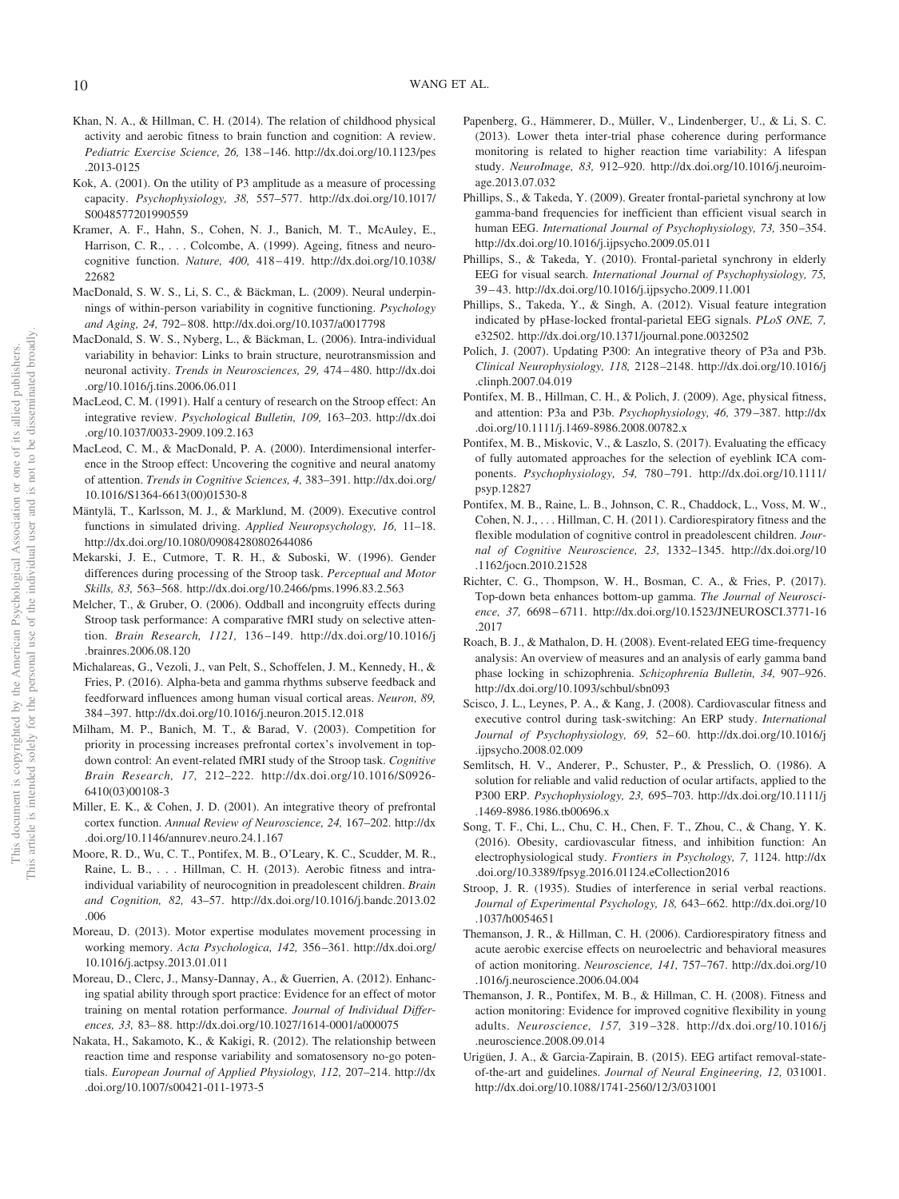- Khan, N. A., & Hillman, C. H. (2014). The relation of childhood physical activity and aerobic fitness to brain function and cognition: A review. *Pediatric Exercise Science, 26,* 138 –146. [http://dx.doi.org/10.1123/pes](http://dx.doi.org/10.1123/pes.2013-0125) [.2013-0125](http://dx.doi.org/10.1123/pes.2013-0125)
- Kok, A. (2001). On the utility of P3 amplitude as a measure of processing capacity. *Psychophysiology, 38,* 557–577. [http://dx.doi.org/10.1017/](http://dx.doi.org/10.1017/S0048577201990559) [S0048577201990559](http://dx.doi.org/10.1017/S0048577201990559)
- Kramer, A. F., Hahn, S., Cohen, N. J., Banich, M. T., McAuley, E., Harrison, C. R., . . . Colcombe, A. (1999). Ageing, fitness and neurocognitive function. *Nature, 400,* 418 – 419. [http://dx.doi.org/10.1038/](http://dx.doi.org/10.1038/22682) [22682](http://dx.doi.org/10.1038/22682)
- MacDonald, S. W. S., Li, S. C., & Bäckman, L. (2009). Neural underpinnings of within-person variability in cognitive functioning. *Psychology and Aging, 24,* 792– 808.<http://dx.doi.org/10.1037/a0017798>
- MacDonald, S. W. S., Nyberg, L., & Bäckman, L. (2006). Intra-individual variability in behavior: Links to brain structure, neurotransmission and neuronal activity. *Trends in Neurosciences, 29,* 474 – 480. [http://dx.doi](http://dx.doi.org/10.1016/j.tins.2006.06.011) [.org/10.1016/j.tins.2006.06.011](http://dx.doi.org/10.1016/j.tins.2006.06.011)
- MacLeod, C. M. (1991). Half a century of research on the Stroop effect: An integrative review. *Psychological Bulletin, 109,* 163–203. [http://dx.doi](http://dx.doi.org/10.1037/0033-2909.109.2.163) [.org/10.1037/0033-2909.109.2.163](http://dx.doi.org/10.1037/0033-2909.109.2.163)
- MacLeod, C. M., & MacDonald, P. A. (2000). Interdimensional interference in the Stroop effect: Uncovering the cognitive and neural anatomy of attention. *Trends in Cognitive Sciences, 4,* 383–391. [http://dx.doi.org/](http://dx.doi.org/10.1016/S1364-6613%2800%2901530-8) [10.1016/S1364-6613\(00\)01530-8](http://dx.doi.org/10.1016/S1364-6613%2800%2901530-8)
- Mäntylä, T., Karlsson, M. J., & Marklund, M. (2009). Executive control functions in simulated driving. *Applied Neuropsychology, 16,* 11–18. <http://dx.doi.org/10.1080/09084280802644086>
- Mekarski, J. E., Cutmore, T. R. H., & Suboski, W. (1996). Gender differences during processing of the Stroop task. *Perceptual and Motor Skills, 83,* 563–568.<http://dx.doi.org/10.2466/pms.1996.83.2.563>
- Melcher, T., & Gruber, O. (2006). Oddball and incongruity effects during Stroop task performance: A comparative fMRI study on selective attention. *Brain Research, 1121,* 136 –149. [http://dx.doi.org/10.1016/j](http://dx.doi.org/10.1016/j.brainres.2006.08.120) [.brainres.2006.08.120](http://dx.doi.org/10.1016/j.brainres.2006.08.120)
- <span id="page-9-0"></span>Michalareas, G., Vezoli, J., van Pelt, S., Schoffelen, J. M., Kennedy, H., & Fries, P. (2016). Alpha-beta and gamma rhythms subserve feedback and feedforward influences among human visual cortical areas. *Neuron, 89,* 384 –397.<http://dx.doi.org/10.1016/j.neuron.2015.12.018>
- Milham, M. P., Banich, M. T., & Barad, V. (2003). Competition for priority in processing increases prefrontal cortex's involvement in topdown control: An event-related fMRI study of the Stroop task. *Cognitive Brain Research, 17,* 212–222. [http://dx.doi.org/10.1016/S0926-](http://dx.doi.org/10.1016/S0926-6410%2803%2900108-3) [6410\(03\)00108-3](http://dx.doi.org/10.1016/S0926-6410%2803%2900108-3)
- Miller, E. K., & Cohen, J. D. (2001). An integrative theory of prefrontal cortex function. *Annual Review of Neuroscience, 24,* 167–202. [http://dx](http://dx.doi.org/10.1146/annurev.neuro.24.1.167) [.doi.org/10.1146/annurev.neuro.24.1.167](http://dx.doi.org/10.1146/annurev.neuro.24.1.167)
- Moore, R. D., Wu, C. T., Pontifex, M. B., O'Leary, K. C., Scudder, M. R., Raine, L. B., . . . Hillman, C. H. (2013). Aerobic fitness and intraindividual variability of neurocognition in preadolescent children. *Brain and Cognition, 82,* 43–57. [http://dx.doi.org/10.1016/j.bandc.2013.02](http://dx.doi.org/10.1016/j.bandc.2013.02.006) [.006](http://dx.doi.org/10.1016/j.bandc.2013.02.006)
- Moreau, D. (2013). Motor expertise modulates movement processing in working memory. *Acta Psychologica, 142,* 356 –361. [http://dx.doi.org/](http://dx.doi.org/10.1016/j.actpsy.2013.01.011) [10.1016/j.actpsy.2013.01.011](http://dx.doi.org/10.1016/j.actpsy.2013.01.011)
- Moreau, D., Clerc, J., Mansy-Dannay, A., & Guerrien, A. (2012). Enhancing spatial ability through sport practice: Evidence for an effect of motor training on mental rotation performance. *Journal of Individual Differences, 33,* 83– 88.<http://dx.doi.org/10.1027/1614-0001/a000075>
- Nakata, H., Sakamoto, K., & Kakigi, R. (2012). The relationship between reaction time and response variability and somatosensory no-go potentials. *European Journal of Applied Physiology, 112,* 207–214. [http://dx](http://dx.doi.org/10.1007/s00421-011-1973-5) [.doi.org/10.1007/s00421-011-1973-5](http://dx.doi.org/10.1007/s00421-011-1973-5)
- <span id="page-9-1"></span>Papenberg, G., Hämmerer, D., Müller, V., Lindenberger, U., & Li, S. C. (2013). Lower theta inter-trial phase coherence during performance monitoring is related to higher reaction time variability: A lifespan study. *NeuroImage, 83,* 912–920. [http://dx.doi.org/10.1016/j.neuroim](http://dx.doi.org/10.1016/j.neuroimage.2013.07.032)[age.2013.07.032](http://dx.doi.org/10.1016/j.neuroimage.2013.07.032)
- Phillips, S., & Takeda, Y. (2009). Greater frontal-parietal synchrony at low gamma-band frequencies for inefficient than efficient visual search in human EEG. *International Journal of Psychophysiology, 73,* 350 –354. <http://dx.doi.org/10.1016/j.ijpsycho.2009.05.011>
- Phillips, S., & Takeda, Y. (2010). Frontal-parietal synchrony in elderly EEG for visual search. *International Journal of Psychophysiology, 75,* 39 – 43.<http://dx.doi.org/10.1016/j.ijpsycho.2009.11.001>
- Phillips, S., Takeda, Y., & Singh, A. (2012). Visual feature integration indicated by pHase-locked frontal-parietal EEG signals. *PLoS ONE, 7,* e32502.<http://dx.doi.org/10.1371/journal.pone.0032502>
- Polich, J. (2007). Updating P300: An integrative theory of P3a and P3b. *Clinical Neurophysiology, 118,* 2128 –2148. [http://dx.doi.org/10.1016/j](http://dx.doi.org/10.1016/j.clinph.2007.04.019) [.clinph.2007.04.019](http://dx.doi.org/10.1016/j.clinph.2007.04.019)
- Pontifex, M. B., Hillman, C. H., & Polich, J. (2009). Age, physical fitness, and attention: P3a and P3b. *Psychophysiology, 46,* 379 –387. [http://dx](http://dx.doi.org/10.1111/j.1469-8986.2008.00782.x) [.doi.org/10.1111/j.1469-8986.2008.00782.x](http://dx.doi.org/10.1111/j.1469-8986.2008.00782.x)
- Pontifex, M. B., Miskovic, V., & Laszlo, S. (2017). Evaluating the efficacy of fully automated approaches for the selection of eyeblink ICA components. *Psychophysiology, 54,* 780 –791. [http://dx.doi.org/10.1111/](http://dx.doi.org/10.1111/psyp.12827) [psyp.12827](http://dx.doi.org/10.1111/psyp.12827)
- Pontifex, M. B., Raine, L. B., Johnson, C. R., Chaddock, L., Voss, M. W., Cohen, N. J.,... Hillman, C. H. (2011). Cardiorespiratory fitness and the flexible modulation of cognitive control in preadolescent children. *Journal of Cognitive Neuroscience, 23,* 1332–1345. [http://dx.doi.org/10](http://dx.doi.org/10.1162/jocn.2010.21528) [.1162/jocn.2010.21528](http://dx.doi.org/10.1162/jocn.2010.21528)
- Richter, C. G., Thompson, W. H., Bosman, C. A., & Fries, P. (2017). Top-down beta enhances bottom-up gamma. *The Journal of Neuroscience, 37,* 6698 – 6711. [http://dx.doi.org/10.1523/JNEUROSCI.3771-16](http://dx.doi.org/10.1523/JNEUROSCI.3771-16.2017) [.2017](http://dx.doi.org/10.1523/JNEUROSCI.3771-16.2017)
- Roach, B. J., & Mathalon, D. H. (2008). Event-related EEG time-frequency analysis: An overview of measures and an analysis of early gamma band phase locking in schizophrenia. *Schizophrenia Bulletin, 34,* 907–926. <http://dx.doi.org/10.1093/schbul/sbn093>
- Scisco, J. L., Leynes, P. A., & Kang, J. (2008). Cardiovascular fitness and executive control during task-switching: An ERP study. *International Journal of Psychophysiology, 69,* 52– 60. [http://dx.doi.org/10.1016/j](http://dx.doi.org/10.1016/j.ijpsycho.2008.02.009) [.ijpsycho.2008.02.009](http://dx.doi.org/10.1016/j.ijpsycho.2008.02.009)
- Semlitsch, H. V., Anderer, P., Schuster, P., & Presslich, O. (1986). A solution for reliable and valid reduction of ocular artifacts, applied to the P300 ERP. *Psychophysiology, 23,* 695–703. [http://dx.doi.org/10.1111/j](http://dx.doi.org/10.1111/j.1469-8986.1986.tb00696.x) [.1469-8986.1986.tb00696.x](http://dx.doi.org/10.1111/j.1469-8986.1986.tb00696.x)
- Song, T. F., Chi, L., Chu, C. H., Chen, F. T., Zhou, C., & Chang, Y. K. (2016). Obesity, cardiovascular fitness, and inhibition function: An electrophysiological study. *Frontiers in Psychology, 7,* 1124. [http://dx](http://dx.doi.org/10.3389/fpsyg.2016.01124.eCollection2016) [.doi.org/10.3389/fpsyg.2016.01124.eCollection2016](http://dx.doi.org/10.3389/fpsyg.2016.01124.eCollection2016)
- Stroop, J. R. (1935). Studies of interference in serial verbal reactions. *Journal of Experimental Psychology, 18,* 643– 662. [http://dx.doi.org/10](http://dx.doi.org/10.1037/h0054651) [.1037/h0054651](http://dx.doi.org/10.1037/h0054651)
- Themanson, J. R., & Hillman, C. H. (2006). Cardiorespiratory fitness and acute aerobic exercise effects on neuroelectric and behavioral measures of action monitoring. *Neuroscience, 141,* 757–767. [http://dx.doi.org/10](http://dx.doi.org/10.1016/j.neuroscience.2006.04.004) [.1016/j.neuroscience.2006.04.004](http://dx.doi.org/10.1016/j.neuroscience.2006.04.004)
- Themanson, J. R., Pontifex, M. B., & Hillman, C. H. (2008). Fitness and action monitoring: Evidence for improved cognitive flexibility in young adults. *Neuroscience, 157,* 319 –328. [http://dx.doi.org/10.1016/j](http://dx.doi.org/10.1016/j.neuroscience.2008.09.014) [.neuroscience.2008.09.014](http://dx.doi.org/10.1016/j.neuroscience.2008.09.014)
- Urigüen, J. A., & Garcia-Zapirain, B. (2015). EEG artifact removal-stateof-the-art and guidelines. *Journal of Neural Engineering, 12,* 031001. <http://dx.doi.org/10.1088/1741-2560/12/3/031001>